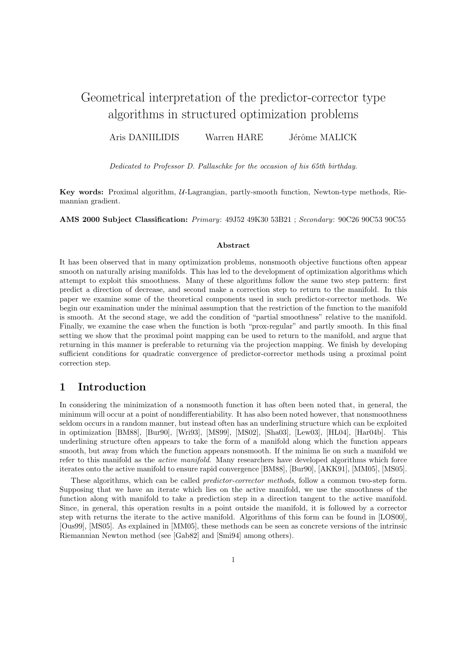# Geometrical interpretation of the predictor-corrector type algorithms in structured optimization problems

Aris DANIILIDIS Warren HARE Jérôme MALICK

Dedicated to Professor D. Pallaschke for the occasion of his 65th birthday.

Key words: Proximal algorithm, U-Lagrangian, partly-smooth function, Newton-type methods, Riemannian gradient.

AMS 2000 Subject Classification: Primary: 49J52 49K30 53B21 ; Secondary: 90C26 90C53 90C55

#### Abstract

It has been observed that in many optimization problems, nonsmooth objective functions often appear smooth on naturally arising manifolds. This has led to the development of optimization algorithms which attempt to exploit this smoothness. Many of these algorithms follow the same two step pattern: first predict a direction of decrease, and second make a correction step to return to the manifold. In this paper we examine some of the theoretical components used in such predictor-corrector methods. We begin our examination under the minimal assumption that the restriction of the function to the manifold is smooth. At the second stage, we add the condition of "partial smoothness" relative to the manifold. Finally, we examine the case when the function is both "prox-regular" and partly smooth. In this final setting we show that the proximal point mapping can be used to return to the manifold, and argue that returning in this manner is preferable to returning via the projection mapping. We finish by developing sufficient conditions for quadratic convergence of predictor-corrector methods using a proximal point correction step.

## 1 Introduction

In considering the minimization of a nonsmooth function it has often been noted that, in general, the minimum will occur at a point of nondifferentiability. It has also been noted however, that nonsmoothness seldom occurs in a random manner, but instead often has an underlining structure which can be exploited in optimization [BM88], [Bur90], [Wri93], [MS99], [MS02], [Sha03], [Lew03], [HL04], [Har04b]. This underlining structure often appears to take the form of a manifold along which the function appears smooth, but away from which the function appears nonsmooth. If the minima lie on such a manifold we refer to this manifold as the active manifold. Many researchers have developed algorithms which force iterates onto the active manifold to ensure rapid convergence [BM88], [Bur90], [AKK91], [MM05], [MS05].

These algorithms, which can be called predictor-corrector methods, follow a common two-step form. Supposing that we have an iterate which lies on the active manifold, we use the smoothness of the function along with manifold to take a prediction step in a direction tangent to the active manifold. Since, in general, this operation results in a point outside the manifold, it is followed by a corrector step with returns the iterate to the active manifold. Algorithms of this form can be found in [LOS00], [Ous99], [MS05]. As explained in [MM05], these methods can be seen as concrete versions of the intrinsic Riemannian Newton method (see [Gab82] and [Smi94] among others).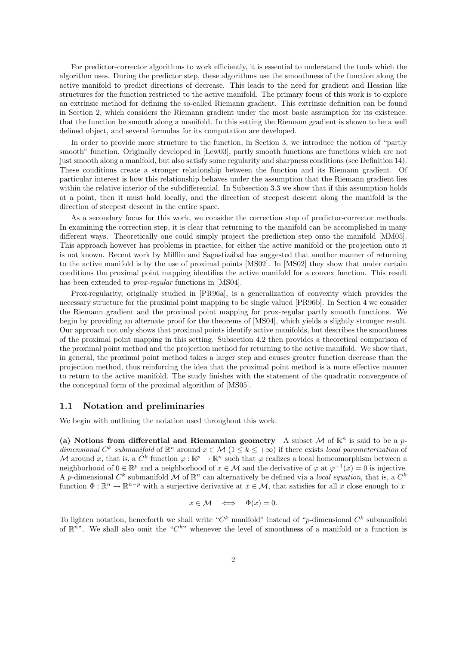For predictor-corrector algorithms to work efficiently, it is essential to understand the tools which the algorithm uses. During the predictor step, these algorithms use the smoothness of the function along the active manifold to predict directions of decrease. This leads to the need for gradient and Hessian like structures for the function restricted to the active manifold. The primary focus of this work is to explore an extrinsic method for defining the so-called Riemann gradient. This extrinsic definition can be found in Section 2, which considers the Riemann gradient under the most basic assumption for its existence: that the function be smooth along a manifold. In this setting the Riemann gradient is shown to be a well defined object, and several formulas for its computation are developed.

In order to provide more structure to the function, in Section 3, we introduce the notion of "partly smooth" function. Originally developed in [Lew03], partly smooth functions are functions which are not just smooth along a manifold, but also satisfy some regularity and sharpness conditions (see Definition 14). These conditions create a stronger relationship between the function and its Riemann gradient. Of particular interest is how this relationship behaves under the assumption that the Riemann gradient lies within the relative interior of the subdifferential. In Subsection 3.3 we show that if this assumption holds at a point, then it must hold locally, and the direction of steepest descent along the manifold is the direction of steepest descent in the entire space.

As a secondary focus for this work, we consider the correction step of predictor-corrector methods. In examining the correction step, it is clear that returning to the manifold can be accomplished in many different ways. Theoretically one could simply project the prediction step onto the manifold [MM05]. This approach however has problems in practice, for either the active manifold or the projection onto it is not known. Recent work by Mifflin and Sagastization has suggested that another manner of returning to the active manifold is by the use of proximal points [MS02]. In [MS02] they show that under certain conditions the proximal point mapping identifies the active manifold for a convex function. This result has been extended to *prox-regular* functions in [MS04].

Prox-regularity, originally studied in [PR96a], is a generalization of convexity which provides the necessary structure for the proximal point mapping to be single valued [PR96b]. In Section 4 we consider the Riemann gradient and the proximal point mapping for prox-regular partly smooth functions. We begin by providing an alternate proof for the theorems of [MS04], which yields a slightly stronger result. Our approach not only shows that proximal points identify active manifolds, but describes the smoothness of the proximal point mapping in this setting. Subsection 4.2 then provides a theoretical comparison of the proximal point method and the projection method for returning to the active manifold. We show that, in general, the proximal point method takes a larger step and causes greater function decrease than the projection method, thus reinforcing the idea that the proximal point method is a more effective manner to return to the active manifold. The study finishes with the statement of the quadratic convergence of the conceptual form of the proximal algorithm of [MS05].

#### 1.1 Notation and preliminaries

We begin with outlining the notation used throughout this work.

(a) Notions from differential and Riemannian geometry A subset M of  $\mathbb{R}^n$  is said to be a pdimensional  $C^k$  submanifold of  $\mathbb{R}^n$  around  $x \in \mathcal{M}$   $(1 \leq k \leq +\infty)$  if there exists local parameterization of M around x, that is, a  $C^k$  function  $\varphi : \mathbb{R}^p \to \mathbb{R}^n$  such that  $\varphi$  realizes a local homeomorphism between a neighborhood of  $0 \in \mathbb{R}^p$  and a neighborhood of  $x \in \mathcal{M}$  and the derivative of  $\varphi$  at  $\varphi^{-1}(x) = 0$  is injective. A p-dimensional  $C^k$  submanifold M of  $\mathbb{R}^n$  can alternatively be defined via a local equation, that is, a  $C^k$ function  $\Phi: \mathbb{R}^n \to \mathbb{R}^{n-p}$  with a surjective derivative at  $\bar{x} \in \mathcal{M}$ , that satisfies for all x close enough to  $\bar{x}$ 

$$
x \in \mathcal{M} \iff \Phi(x) = 0.
$$

To lighten notation, henceforth we shall write " $C<sup>k</sup>$  manifold" instead of "p-dimensional  $C<sup>k</sup>$  submanifold of  $\mathbb{R}^{n}$ . We shall also omit the " $C^{k}$ " whenever the level of smoothness of a manifold or a function is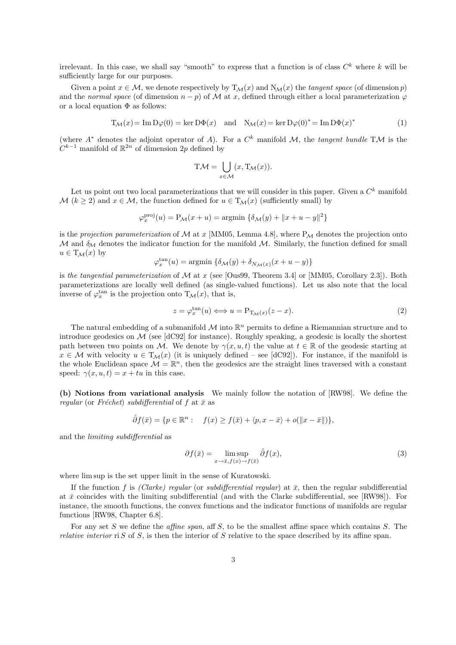irrelevant. In this case, we shall say "smooth" to express that a function is of class  $C^k$  where k will be sufficiently large for our purposes.

Given a point  $x \in M$ , we denote respectively by  $T_M(x)$  and  $N_M(x)$  the tangent space (of dimension p) and the normal space (of dimension  $n - p$ ) of M at x, defined through either a local parameterization  $\varphi$ or a local equation  $\Phi$  as follows:

$$
T_{\mathcal{M}}(x) = \operatorname{Im} D\varphi(0) = \ker D\Phi(x) \quad \text{and} \quad N_{\mathcal{M}}(x) = \ker D\varphi(0)^* = \operatorname{Im} D\Phi(x)^* \tag{1}
$$

(where  $A^*$  denotes the adjoint operator of A). For a  $C^k$  manifold M, the tangent bundle TM is the  $C^{k-1}$  manifold of  $\mathbb{R}^{2n}$  of dimension 2p defined by

$$
T\mathcal{M} = \bigcup_{x \in \mathcal{M}} (x, T_{\mathcal{M}}(x)).
$$

Let us point out two local parameterizations that we will consider in this paper. Given a  $C<sup>k</sup>$  manifold M ( $k \ge 2$ ) and  $x \in M$ , the function defined for  $u \in T_M(x)$  (sufficiently small) by

$$
\varphi_x^{\text{proj}}(u) = \mathcal{P}_{\mathcal{M}}(x+u) = \text{argmin} \left\{ \delta_{\mathcal{M}}(y) + ||x+u-y||^2 \right\}
$$

is the projection parameterization of  $\mathcal M$  at x [MM05, Lemma 4.8], where  $P_{\mathcal M}$  denotes the projection onto M and  $\delta_M$  denotes the indicator function for the manifold M. Similarly, the function defined for small  $u \in T_{\mathcal{M}}(x)$  by

$$
\varphi_x^{\tan}(u) = \operatorname{argmin} \left\{ \delta_{\mathcal{M}}(y) + \delta_{N_{\mathcal{M}}(x)}(x + u - y) \right\}
$$

is the tangential parameterization of  $\mathcal M$  at x (see [Ous99, Theorem 3.4] or [MM05, Corollary 2.3]). Both parameterizations are locally well defined (as single-valued functions). Let us also note that the local inverse of  $\varphi_x^{\text{tan}}$  is the projection onto  $T_{\mathcal{M}}(x)$ , that is,

$$
z = \varphi_x^{\tan}(u) \Longleftrightarrow u = \mathcal{P}_{\mathcal{T}_{\mathcal{M}}(x)}(z - x). \tag{2}
$$

The natural embedding of a submanifold  $\mathcal M$  into  $\mathbb R^n$  permits to define a Riemannian structure and to introduce geodesics on  $\mathcal M$  (see [dC92] for instance). Roughly speaking, a geodesic is locally the shortest path between two points on M. We denote by  $\gamma(x, u, t)$  the value at  $t \in \mathbb{R}$  of the geodesic starting at  $x \in \mathcal{M}$  with velocity  $u \in T_{\mathcal{M}}(x)$  (it is uniquely defined – see [dC92]). For instance, if the manifold is the whole Euclidean space  $\mathcal{M} = \mathbb{R}^n$ , then the geodesics are the straight lines traversed with a constant speed:  $\gamma(x, u, t) = x + tu$  in this case.

(b) Notions from variational analysis We mainly follow the notation of [RW98]. We define the regular (or Fréchet) subdifferential of f at  $\bar{x}$  as

$$
\hat{\partial} f(\bar{x}) = \{ p \in \mathbb{R}^n : \quad f(x) \ge f(\bar{x}) + \langle p, x - \bar{x} \rangle + o(\|x - \bar{x}\|) \},
$$

and the limiting subdifferential as

$$
\partial f(\bar{x}) = \limsup_{x \to \bar{x}, f(x) \to f(\bar{x})} \hat{\partial} f(x),\tag{3}
$$

where lim sup is the set upper limit in the sense of Kuratowski.

If the function f is (Clarke) regular (or subdifferential regular) at  $\bar{x}$ , then the regular subdifferential at  $\bar{x}$  coincides with the limiting subdifferential (and with the Clarke subdifferential, see [RW98]). For instance, the smooth functions, the convex functions and the indicator functions of manifolds are regular functions [RW98, Chapter 6.8].

For any set S we define the *affine span*, aff S, to be the smallest affine space which contains S. The *relative interior* ri S of S, is then the interior of S relative to the space described by its affine span.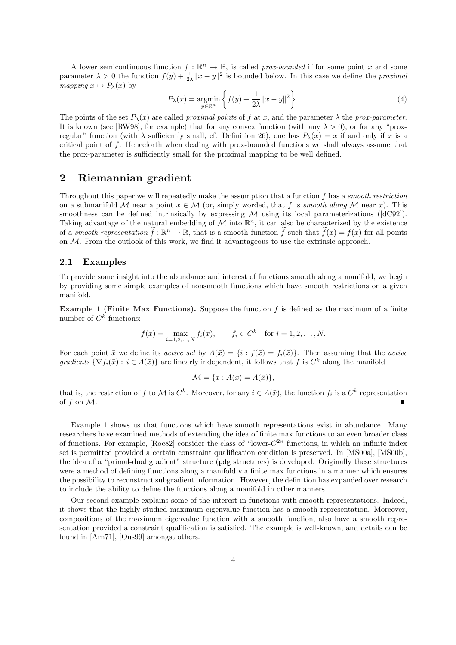A lower semicontinuous function  $f : \mathbb{R}^n \to \mathbb{R}$ , is called prox-bounded if for some point x and some parameter  $\lambda > 0$  the function  $f(y) + \frac{1}{2\lambda} ||x - y||^2$  is bounded below. In this case we define the *proximal* mapping  $x \mapsto P_\lambda(x)$  by ½  $\mathbf{A}$ 

$$
P_{\lambda}(x) = \underset{y \in \mathbb{R}^n}{\operatorname{argmin}} \left\{ f(y) + \frac{1}{2\lambda} \|x - y\|^2 \right\}.
$$
 (4)

The points of the set  $P_\lambda(x)$  are called proximal points of f at x, and the parameter  $\lambda$  the prox-parameter. It is known (see [RW98], for example) that for any convex function (with any  $\lambda > 0$ ), or for any "proxregular" function (with  $\lambda$  sufficiently small, cf. Definition 26), one has  $P_{\lambda}(x) = x$  if and only if x is a critical point of  $f$ . Henceforth when dealing with prox-bounded functions we shall always assume that the prox-parameter is sufficiently small for the proximal mapping to be well defined.

## 2 Riemannian gradient

Throughout this paper we will repeatedly make the assumption that a function f has a smooth restriction on a submanifold M near a point  $\bar{x} \in M$  (or, simply worded, that f is smooth along M near  $\bar{x}$ ). This smoothness can be defined intrinsically by expressing  $M$  using its local parameterizations ([dC92]). Taking advantage of the natural embedding of  $M$  into  $\mathbb{R}^n$ , it can also be characterized by the existence of a smooth representation  $\tilde{f}: \mathbb{R}^n \to \mathbb{R}$ , that is a smooth function  $\tilde{f}$  such that  $\tilde{f}(x) = f(x)$  for all points on M. From the outlook of this work, we find it advantageous to use the extrinsic approach.

#### 2.1 Examples

To provide some insight into the abundance and interest of functions smooth along a manifold, we begin by providing some simple examples of nonsmooth functions which have smooth restrictions on a given manifold.

**Example 1 (Finite Max Functions).** Suppose the function  $f$  is defined as the maximum of a finite number of  $C^k$  functions:

$$
f(x) = \max_{i=1,2,...,N} f_i(x)
$$
,  $f_i \in C^k$  for  $i = 1,2,...,N$ .

For each point  $\bar{x}$  we define its *active set* by  $A(\bar{x}) = \{i : f(\bar{x}) = f_i(\bar{x})\}\.$  Then assuming that the *active* gradients  $\{\nabla f_i(\bar{x}) : i \in A(\bar{x})\}$  are linearly independent, it follows that f is  $C^k$  along the manifold

$$
\mathcal{M} = \{x : A(x) = A(\bar{x})\},\
$$

that is, the restriction of f to M is  $C^k$ . Moreover, for any  $i \in A(\bar{x})$ , the function  $f_i$  is a  $C^k$  representation of f on M.

Example 1 shows us that functions which have smooth representations exist in abundance. Many researchers have examined methods of extending the idea of finite max functions to an even broader class of functions. For example,  $[Roc82]$  consider the class of "lower- $C^{2}$ " functions, in which an infinite index set is permitted provided a certain constraint qualification condition is preserved. In [MS00a], [MS00b], the idea of a "primal-dual gradient" structure (pdg structures) is developed. Originally these structures were a method of defining functions along a manifold via finite max functions in a manner which ensures the possibility to reconstruct subgradient information. However, the definition has expanded over research to include the ability to define the functions along a manifold in other manners.

Our second example explains some of the interest in functions with smooth representations. Indeed, it shows that the highly studied maximum eigenvalue function has a smooth representation. Moreover, compositions of the maximum eigenvalue function with a smooth function, also have a smooth representation provided a constraint qualification is satisfied. The example is well-known, and details can be found in [Arn71], [Ous99] amongst others.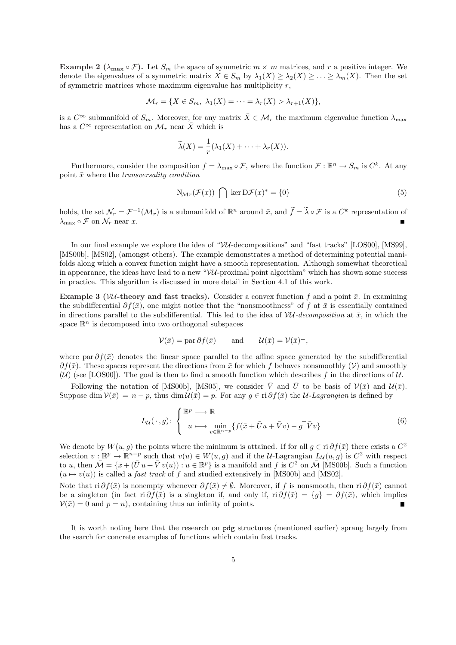**Example 2** ( $\lambda_{\text{max}} \circ \mathcal{F}$ ). Let  $S_m$  the space of symmetric  $m \times m$  matrices, and r a positive integer. We denote the eigenvalues of a symmetric matrix  $X \in S_m$  by  $\lambda_1(X) \geq \lambda_2(X) \geq \ldots \geq \lambda_m(X)$ . Then the set of symmetric matrices whose maximum eigenvalue has multiplicity r,

$$
\mathcal{M}_r = \{ X \in S_m, \ \lambda_1(X) = \cdots = \lambda_r(X) > \lambda_{r+1}(X) \},
$$

is a  $C^{\infty}$  submanifold of  $S_m$ . Moreover, for any matrix  $\bar{X} \in \mathcal{M}_r$  the maximum eigenvalue function  $\lambda_{\max}$ has a  $C^{\infty}$  representation on  $\mathcal{M}_r$  near  $\bar{X}$  which is

$$
\widetilde{\lambda}(X) = \frac{1}{r}(\lambda_1(X) + \cdots + \lambda_r(X)).
$$

Furthermore, consider the composition  $f = \lambda_{\max} \circ \mathcal{F}$ , where the function  $\mathcal{F} : \mathbb{R}^n \to S_m$  is  $C^k$ . At any point  $\bar{x}$  where the *transversality condition* 

$$
N_{\mathcal{M}_T}(\mathcal{F}(x)) \bigcap \ker D\mathcal{F}(x)^* = \{0\}
$$
 (5)

holds, the set  $\mathcal{N}_r = \mathcal{F}^{-1}(\mathcal{M}_r)$  is a submanifold of  $\mathbb{R}^n$  around  $\bar{x}$ , and  $\tilde{f} = \tilde{\lambda} \circ \mathcal{F}$  is a  $C^k$  representation of  $\lambda_{\max} \circ \mathcal{F}$  on  $\mathcal{N}_r$  near x.

In our final example we explore the idea of " $VU$ -decompositions" and "fast tracks" [LOS00], [MS99], [MS00b], [MS02], (amongst others). The example demonstrates a method of determining potential manifolds along which a convex function might have a smooth representation. Although somewhat theoretical in appearance, the ideas have lead to a new " $VU$ -proximal point algorithm" which has shown some success in practice. This algorithm is discussed in more detail in Section 4.1 of this work.

Example 3 (VU-theory and fast tracks). Consider a convex function f and a point  $\bar{x}$ . In examining the subdifferential  $\partial f(\bar{x})$ , one might notice that the "nonsmoothness" of f at  $\bar{x}$  is essentially contained in directions parallel to the subdifferential. This led to the idea of  $VU-decomposition$  at  $\bar{x}$ , in which the space  $\mathbb{R}^n$  is decomposed into two orthogonal subspaces

$$
\mathcal{V}(\bar{x}) = \text{par}\,\partial f(\bar{x}) \qquad \text{and} \qquad \mathcal{U}(\bar{x}) = \mathcal{V}(\bar{x})^{\perp},
$$

where par  $\partial f(\bar{x})$  denotes the linear space parallel to the affine space generated by the subdifferential  $\partial f(\bar{x})$ . These spaces represent the directions from  $\bar{x}$  for which f behaves nonsmoothly  $(\mathcal{V})$  and smoothly  $(\mathcal{U})$  (see [LOS00]). The goal is then to find a smooth function which describes f in the directions of  $\mathcal{U}$ .

Following the notation of [MS00b], [MS05], we consider  $\overline{V}$  and  $\overline{U}$  to be basis of  $V(\overline{x})$  and  $U(\overline{x})$ . Suppose dim  $\mathcal{V}(\bar{x}) = n - p$ , thus dim  $\mathcal{U}(\bar{x}) = p$ . For any  $q \in \text{ri } \partial f(\bar{x})$  the *U-Lagrangian* is defined by

$$
L_{\mathcal{U}}(\,\cdot\,,g): \left\{ \begin{array}{c} \mathbb{R}^p \longrightarrow \mathbb{R} \\ u \longmapsto \min_{v \in \mathbb{R}^{n-p}} \{ f(\bar{x} + \bar{U}u + \bar{V}v) - g^{\top}\bar{V}v \} \end{array} \right. \tag{6}
$$

We denote by  $W(u, g)$  the points where the minimum is attained. If for all  $g \in \text{ri } \partial f(\bar{x})$  there exists a  $C^2$ selection  $v : \mathbb{R}^p \to \mathbb{R}^{n-p}$  such that  $v(u) \in W(u,g)$  and if the U-Lagrangian  $L_u(u,g)$  is  $C^2$  with respect to u, then  $\overline{\mathcal{M}} = {\overline{x} + (\overline{U}u + \overline{V}v(u)) : u \in \mathbb{R}^p}$  is a manifold and f is  $C^2$  on  $\overline{\mathcal{M}}$  [MS00b]. Such a function  $(u \mapsto v(u))$  is called a *fast track* of f and studied extensively in [MS00b] and [MS02].

Note that ri  $\partial f(\bar{x})$  is nonempty whenever  $\partial f(\bar{x}) \neq \emptyset$ . Moreover, if f is nonsmooth, then ri  $\partial f(\bar{x})$  cannot be a singleton (in fact ri  $\partial f(\bar{x})$  is a singleton if, and only if, ri  $\partial f(\bar{x}) = \{g\} = \partial f(\bar{x})$ , which implies  $V(\bar{x}) = 0$  and  $p = n$ , containing thus an infinity of points.

It is worth noting here that the research on pdg structures (mentioned earlier) sprang largely from the search for concrete examples of functions which contain fast tracks.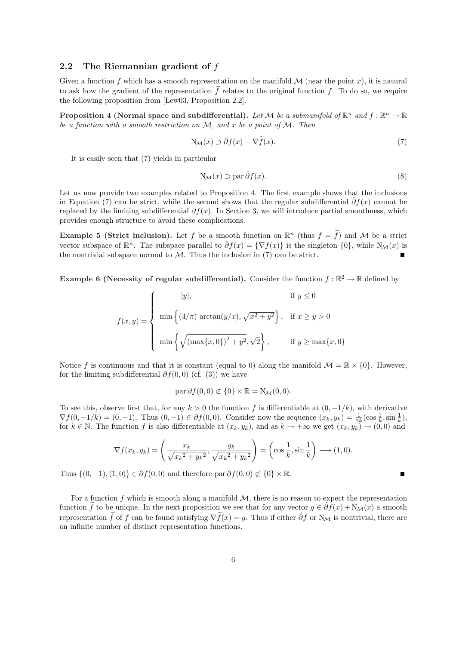#### 2.2 The Riemannian gradient of f

Given a function f which has a smooth representation on the manifold  $\mathcal M$  (near the point  $\bar x$ ), it is natural to ask how the gradient of the representation  $\tilde{f}$  relates to the original function f. To do so, we require the following proposition from [Lew03, Proposition 2.2].

Proposition 4 (Normal space and subdifferential). Let M be a submanifold of  $\mathbb{R}^n$  and  $f : \mathbb{R}^n \to \mathbb{R}$ be a function with a smooth restriction on  $M$ , and x be a point of  $M$ . Then

$$
N_{\mathcal{M}}(x) \supset \hat{\partial}f(x) - \nabla \tilde{f}(x). \tag{7}
$$

It is easily seen that (7) yields in particular

$$
N_{\mathcal{M}}(x) \supset \text{par}\,\hat{\partial}f(x). \tag{8}
$$

п

Let us now provide two examples related to Proposition 4. The first example shows that the inclusions in Equation (7) can be strict, while the second shows that the regular subdifferential  $\partial f(x)$  cannot be replaced by the limiting subdifferential  $\partial f(x)$ . In Section 3, we will introduce partial smoothness, which provides enough structure to avoid these complications.

**Example 5 (Strict inclusion).** Let f be a smooth function on  $\mathbb{R}^n$  (thus  $f = \tilde{f}$ ) and M be a strict vector subspace of  $\mathbb{R}^n$ . The subspace parallel to  $\hat{\partial}f(x) = \{\nabla f(x)\}\$ is the singleton  $\{0\}$ , while  $N_{\mathcal{M}}(x)$  is the nontrivial subspace normal to  $M$ . Thus the inclusion in  $(7)$  can be strict.

**Example 6 (Necessity of regular subdifferential).** Consider the function  $f : \mathbb{R}^2 \to \mathbb{R}$  defined by

$$
f(x,y) = \begin{cases} \n-\vert y \vert, & \text{if } y \le 0 \\ \n\min\left\{ (4/\pi) \arctan(y/x), \sqrt{x^2 + y^2} \right\}, & \text{if } x \ge y > 0 \\ \n\min\left\{ \sqrt{\left( \max\{x, 0\} \right)^2 + y^2}, \sqrt{2} \right\}, & \text{if } y \ge \max\{x, 0\} \n\end{cases}
$$

Notice f is continuous and that it is constant (equal to 0) along the manifold  $\mathcal{M} = \mathbb{R} \times \{0\}$ . However, for the limiting subdifferential  $\partial f(0,0)$  (cf. (3)) we have

$$
\operatorname{par}\partial f(0,0)\not\subset\{0\}\times\mathbb{R}=\mathrm{N}_{\mathcal{M}}(0,0).
$$

To see this, observe first that, for any  $k > 0$  the function f is differentiable at  $(0, -1/k)$ , with derivative  $\nabla f(0, -1/k) = (0, -1)$ . Thus  $(0, -1) \in \partial f(0, 0)$ . Consider now the sequence  $(x_k, y_k) = \frac{1}{2k} (\cos \frac{1}{k}, \sin \frac{1}{k}),$ for  $k \in \mathbb{N}$ . The function f is also differentiable at  $(x_k, y_k)$ , and as  $k \to +\infty$  we get  $(x_k, y_k) \to (0, 0)$  and

$$
\nabla f(x_k, y_k) = \left(\frac{x_k}{\sqrt{x_k^2 + y_k^2}}, \frac{y_k}{\sqrt{x_k^2 + y_k^2}}\right) = \left(\cos\frac{1}{k}, \sin\frac{1}{k}\right) \longrightarrow (1, 0).
$$

Thus  $\{(0, -1), (1, 0)\}\in \partial f(0, 0)$  and therefore par  $\partial f(0, 0) \not\subset \{0\} \times \mathbb{R}$ .

For a function f which is smooth along a manifold  $M$ , there is no reason to expect the representation function f to be unique. In the next proposition we see that for any vector  $g \in \partial f(x) + N_{\mathcal{M}}(x)$  a smooth representation  $\tilde{f}$  of f can be found satisfying  $\nabla \tilde{f}(x) = q$ . Thus if either  $\hat{\partial} f$  or N<sub>M</sub> is nontrivial, there are an infinite number of distinct representation functions.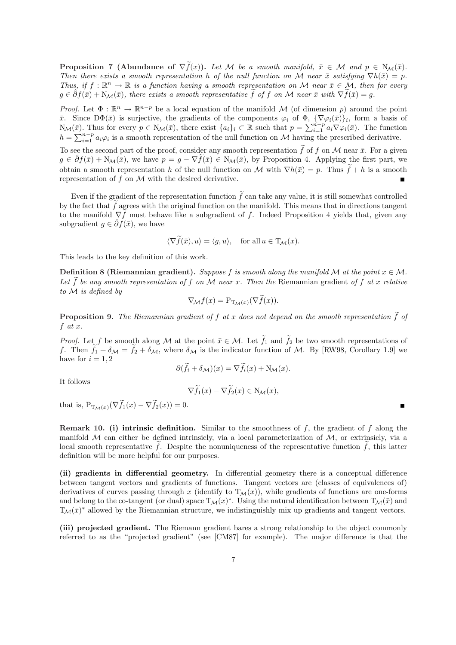**Proposition 7** (Abundance of  $\nabla \tilde{f}(x)$ ). Let M be a smooth manifold,  $\bar{x} \in \mathcal{M}$  and  $p \in N_{\mathcal{M}}(\bar{x})$ . Then there exists a smooth representation h of the null function on M near  $\bar{x}$  satisfying  $\nabla h(\bar{x}) = p$ . Thus, if  $f : \mathbb{R}^n \to \mathbb{R}$  is a function having a smooth representation on M near  $\bar{x} \in \mathcal{M}$ , then for every  $g \in \partial f(\bar{x}) + N_{\mathcal{M}}(\bar{x})$ , there exists a smooth representative f of f on M near  $\bar{x}$  with  $\nabla f(\bar{x}) = g$ .

*Proof.* Let  $\Phi : \mathbb{R}^n \to \mathbb{R}^{n-p}$  be a local equation of the manifold M (of dimension p) around the point  $\bar{x}$ . Since  $D\Phi(\bar{x})$  is surjective, the gradients of the components  $\varphi_i$  of  $\Phi$ ,  $\{\nabla\varphi_i(\bar{x})\}_i$ , form a basis of x. Since  $D\Psi(x)$  is surjective, the gradients of the components  $\varphi_i$  or  $\Psi$ ,  $\{\nabla \varphi_i(x)\}_i$ , form a basis of  $N_\mathcal{M}(\bar{x})$ . Thus for every  $p \in N_\mathcal{M}(\bar{x})$ , there exist  $\{a_i\}_i \subset \mathbb{R}$  such that  $p = \sum_{i=1}^{n-p} a_i \nabla$  $h = \sum_{i=1}^{n-p} a_i \varphi_i$  is a smooth representation of the null function on M having the prescribed derivative.

To see the second part of the proof, consider any smooth representation  $\tilde{f}$  of f on M near  $\bar{x}$ . For a given  $g \in \hat{\partial} f(\bar{x}) + N_{\mathcal{M}}(\bar{x}),$  we have  $p = g - \nabla \tilde{f}(\bar{x}) \in N_{\mathcal{M}}(\bar{x}),$  by Proposition 4. Applying the first part, we obtain a smooth representation h of the null function on M with  $\nabla h(\bar{x}) = p$ . Thus  $\tilde{f} + h$  is a smooth representation of  $f$  on  $\mathcal M$  with the desired derivative.

Even if the gradient of the representation function  $\tilde{f}$  can take any value, it is still somewhat controlled by the fact that  $f$  agrees with the original function on the manifold. This means that in directions tangent to the manifold  $\nabla f$  must behave like a subgradient of f. Indeed Proposition 4 yields that, given any subgradient  $q \in \hat{\partial} f(\bar{x})$ , we have

$$
\langle \nabla \widetilde{f}(\bar{x}), u \rangle = \langle g, u \rangle, \quad \text{for all } u \in \mathrm{T}_\mathcal{M}(x).
$$

This leads to the key definition of this work.

Definition 8 (Riemannian gradient). Suppose f is smooth along the manifold M at the point  $x \in M$ . Let  $\tilde{f}$  be any smooth representation of f on M near x. Then the Riemannian gradient of f at x relative to M is defined by

$$
\nabla_{\mathcal{M}} f(x) = \mathcal{P}_{\mathcal{I}_{\mathcal{M}}(x)}(\nabla \widetilde{f}(x)).
$$

**Proposition 9.** The Riemannian gradient of f at x does not depend on the smooth representation  $\tilde{f}$  of  $f$  at  $x$ .

*Proof.* Let f be smooth along M at the point  $\bar{x} \in M$ . Let  $\tilde{f}_1$  and  $\tilde{f}_2$  be two smooth representations of f. Then  $f_1 + \delta_{\mathcal{M}} = f_2 + \delta_{\mathcal{M}}$ , where  $\delta_{\mathcal{M}}$  is the indicator function of M. By [RW98, Corollary 1.9] we have for  $i = 1, 2$ 

$$
\partial(\widetilde{f}_i + \delta_{\mathcal{M}})(x) = \nabla \widetilde{f}_i(x) + \mathcal{N}_{\mathcal{M}}(x).
$$

It follows

$$
\nabla \widetilde{f}_1(x) - \nabla \widetilde{f}_2(x) \in N_{\mathcal{M}}(x),
$$

that is,  $P_{T_M(x)}(\nabla \tilde{f}_1(x) - \nabla \tilde{f}_2(x)) = 0.$ 

**Remark 10.** (i) intrinsic definition. Similar to the smoothness of f, the gradient of f along the manifold  $M$  can either be defined intrinsicly, via a local parameterization of  $M$ , or extrinsicly, via a local smooth representative f. Despite the nonuniqueness of the representative function  $f$ , this latter definition will be more helpful for our purposes.

(ii) gradients in differential geometry. In differential geometry there is a conceptual difference between tangent vectors and gradients of functions. Tangent vectors are (classes of equivalences of) derivatives of curves passing through x (identify to  $T_{\mathcal{M}}(x)$ ), while gradients of functions are one-forms and belong to the co-tangent (or dual) space  $T_M(x)^*$ . Using the natural identification between  $T_M(\bar{x})$  and  $T_M(\bar{x})^*$  allowed by the Riemannian structure, we indistinguishly mix up gradients and tangent vectors.

(iii) projected gradient. The Riemann gradient bares a strong relationship to the object commonly referred to as the "projected gradient" (see [CM87] for example). The major difference is that the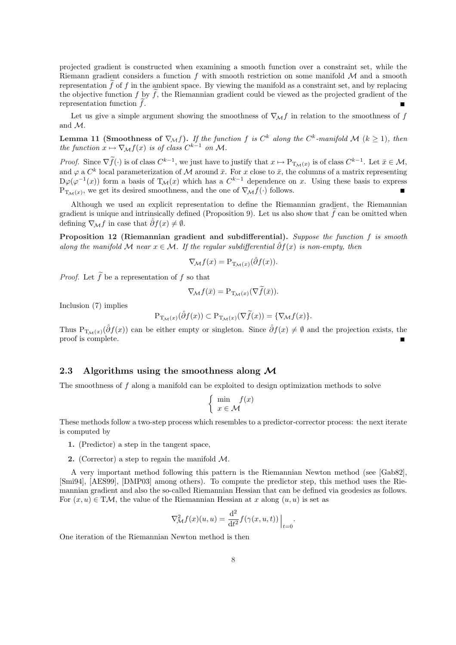projected gradient is constructed when examining a smooth function over a constraint set, while the Riemann gradient considers a function f with smooth restriction on some manifold  $M$  and a smooth representation  $f$  of  $f$  in the ambient space. By viewing the manifold as a constraint set, and by replacing the objective function  $f$  by  $f$ , the Riemannian gradient could be viewed as the projected gradient of the representation function  $f$ .  $\blacksquare$ 

Let us give a simple argument showing the smoothness of  $\nabla_{\mathcal{M}} f$  in relation to the smoothness of f and M.

**Lemma 11 (Smoothness of**  $\nabla_{\mathcal{M}} f$ ). If the function f is  $C^k$  along the  $C^k$ -manifold  $\mathcal{M}$  ( $k \geq 1$ ), then the function  $x \mapsto \nabla_{\mathcal{M}} f(x)$  is of class  $C^{k-1}$  on M.

*Proof.* Since  $\nabla \tilde{f}(\cdot)$  is of class  $C^{k-1}$ , we just have to justify that  $x \mapsto P_{T_{\mathcal{M}}(x)}$  is of class  $C^{k-1}$ . Let  $\bar{x} \in \mathcal{M}$ , and  $\varphi$  a  $C^k$  local parameterization of M around  $\bar{x}$ . For x close to  $\bar{x}$ , the columns of a matrix representing  $D\varphi(\varphi^{-1}(x))$  form a basis of  $T_M(x)$  which has a  $C^{k-1}$  dependence on x. Using these basis to express  $P_{T_M(x)}$ , we get its desired smoothness, and the one of  $\nabla_M f(\cdot)$  follows.

Although we used an explicit representation to define the Riemannian gradient, the Riemannian gradient is unique and intrinsically defined (Proposition 9). Let us also show that  $\tilde{f}$  can be omitted when defining  $\nabla_{\mathcal{M}} f$  in case that  $\hat{\partial} f(x) \neq \emptyset$ .

Proposition 12 (Riemannian gradient and subdifferential). Suppose the function f is smooth along the manifold M near  $x \in \mathcal{M}$ . If the regular subdifferential  $\hat{\partial} f(x)$  is non-empty, then

$$
\nabla_{\mathcal{M}} f(x) = \mathcal{P}_{\mathcal{T}_{\mathcal{M}}(x)}(\hat{\partial} f(x)).
$$

*Proof.* Let  $\tilde{f}$  be a representation of f so that

$$
\nabla_{\mathcal{M}} f(\bar{x}) = \mathcal{P}_{\mathcal{I}_{\mathcal{M}}(x)}(\nabla \tilde{f}(\bar{x})).
$$

Inclusion (7) implies

$$
\mathbf{P}_{\mathrm{T}_{\mathcal{M}}(x)}(\hat{\partial}f(x)) \subset \mathbf{P}_{\mathrm{T}_{\mathcal{M}}(x)}(\nabla \widetilde{f}(x)) = \{\nabla_{\mathcal{M}}f(x)\}.
$$

Thus P<sub>TM</sub>(x)(∂f(x)) can be either empty or singleton. Since  $\hat{\partial}f(x) \neq \emptyset$  and the projection exists, the proof is complete.

#### 2.3 Algorithms using the smoothness along  $\mathcal M$

The smoothness of f along a manifold can be exploited to design optimization methods to solve

$$
\begin{cases} \min_{x \in \mathcal{M}} f(x) \end{cases}
$$

These methods follow a two-step process which resembles to a predictor-corrector process: the next iterate is computed by

- 1. (Predictor) a step in the tangent space,
- 2. (Corrector) a step to regain the manifold  $M$ .

A very important method following this pattern is the Riemannian Newton method (see [Gab82], [Smi94], [AES99], [DMP03] among others). To compute the predictor step, this method uses the Riemannian gradient and also the so-called Riemannian Hessian that can be defined via geodesics as follows. For  $(x, u) \in TM$ , the value of the Riemannian Hessian at x along  $(u, u)$  is set as

$$
\nabla^2_{\mathcal{M}} f(x)(u, u) = \frac{\mathrm{d}^2}{\mathrm{d}t^2} f(\gamma(x, u, t)) \Big|_{t=0}.
$$

One iteration of the Riemannian Newton method is then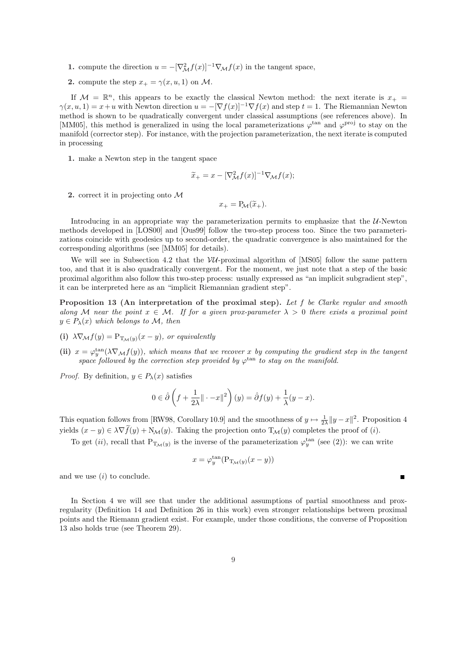- 1. compute the direction  $u = -[\nabla^2_{\mathcal{M}} f(x)]^{-1} \nabla_{\mathcal{M}} f(x)$  in the tangent space,
- 2. compute the step  $x_+ = \gamma(x, u, 1)$  on M.

If  $\mathcal{M} = \mathbb{R}^n$ , this appears to be exactly the classical Newton method: the next iterate is  $x_+$  $\gamma(x, u, 1) = x + u$  with Newton direction  $u = -[\nabla f(x)]^{-1} \nabla f(x)$  and step  $t = 1$ . The Riemannian Newton method is shown to be quadratically convergent under classical assumptions (see references above). In [MM05], this method is generalized in using the local parameterizations  $\varphi$ <sup>tan</sup> and  $\varphi$ <sup>proj</sup> to stay on the manifold (corrector step). For instance, with the projection parameterization, the next iterate is computed in processing

1. make a Newton step in the tangent space

$$
\widetilde{x}_{+} = x - [\nabla_{\mathcal{M}}^{2} f(x)]^{-1} \nabla_{\mathcal{M}} f(x);
$$

2. correct it in projecting onto M

$$
x_{+} = P_{\mathcal{M}}(\widetilde{x}_{+}).
$$

Introducing in an appropriate way the parameterization permits to emphasize that the  $U$ -Newton methods developed in [LOS00] and [Ous99] follow the two-step process too. Since the two parameterizations coincide with geodesics up to second-order, the quadratic convergence is also maintained for the corresponding algorithms (see [MM05] for details).

We will see in Subsection 4.2 that the  $VU$ -proximal algorithm of [MS05] follow the same pattern too, and that it is also quadratically convergent. For the moment, we just note that a step of the basic proximal algorithm also follow this two-step process: usually expressed as "an implicit subgradient step", it can be interpreted here as an "implicit Riemannian gradient step".

Proposition 13 (An interpretation of the proximal step). Let f be Clarke regular and smooth along M near the point  $x \in M$ . If for a given prox-parameter  $\lambda > 0$  there exists a proximal point  $y \in P_{\lambda}(x)$  which belongs to M, then

- (i)  $\lambda \nabla_{\mathcal{M}} f(y) = P_{T_{\mathcal{M}}(y)}(x y)$ , or equivalently
- (ii)  $x = \varphi_y^{\text{tan}}(\lambda \nabla_{\mathcal{M}}f(y))$ , which means that we recover x by computing the gradient step in the tangent space followed by the correction step provided by  $\varphi^{\tan}$  to stay on the manifold.

*Proof.* By definition,  $y \in P_\lambda(x)$  satisfies

$$
0 \in \hat{\partial} \left( f + \frac{1}{2\lambda} || \cdot -x ||^2 \right)(y) = \hat{\partial} f(y) + \frac{1}{\lambda} (y - x).
$$

This equation follows from [RW98, Corollary 10.9] and the smoothness of  $y \mapsto \frac{1}{2\lambda} \|y - x\|^2$ . Proposition 4 yields  $(x - y) \in \lambda \nabla f(y) + N_{\mathcal{M}}(y)$ . Taking the projection onto  $T_{\mathcal{M}}(y)$  completes the proof of (*i*).

To get (ii), recall that  $P_{T_M(y)}$  is the inverse of the parameterization  $\varphi_y^{\text{tan}}$  (see (2)): we can write

$$
x = \varphi_y^{\tan}(\mathbf{P}_{\mathbf{T}_{\mathcal{M}}(y)}(x - y))
$$

 $\blacksquare$ 

and we use  $(i)$  to conclude.

In Section 4 we will see that under the additional assumptions of partial smoothness and proxregularity (Definition 14 and Definition 26 in this work) even stronger relationships between proximal points and the Riemann gradient exist. For example, under those conditions, the converse of Proposition 13 also holds true (see Theorem 29).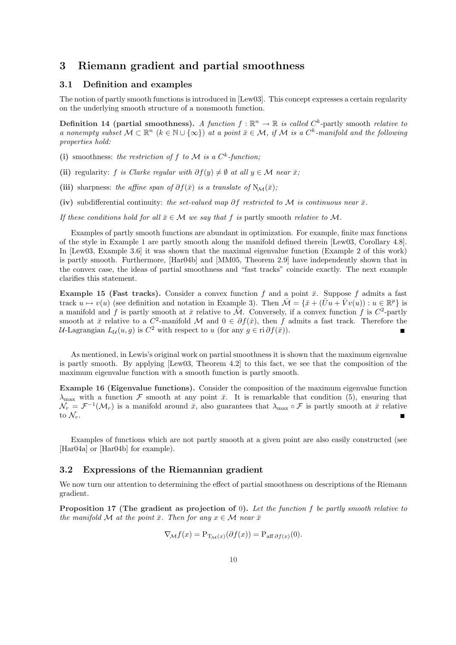# 3 Riemann gradient and partial smoothness

#### 3.1 Definition and examples

The notion of partly smooth functions is introduced in [Lew03]. This concept expresses a certain regularity on the underlying smooth structure of a nonsmooth function.

**Definition 14 (partial smoothness).** A function  $f : \mathbb{R}^n \to \mathbb{R}$  is called  $C^k$ -partly smooth relative to a nonempty subset  $M \subset \mathbb{R}^n$   $(k \in \mathbb{N} \cup \{\infty\})$  at a point  $\bar{x} \in \mathcal{M}$ , if M is a  $C^k$ -manifold and the following properties hold:

- (i) smoothness: the restriction of f to M is a  $C<sup>k</sup>$ -function;
- (ii) regularity: f is Clarke regular with  $\partial f(y) \neq \emptyset$  at all  $y \in \mathcal{M}$  near  $\bar{x}$ ;
- (iii) sharpness: the affine span of  $\partial f(\bar{x})$  is a translate of  $N_{\mathcal{M}}(\bar{x})$ ;
- (iv) subdifferential continuity: the set-valued map ∂f restricted to M is continuous near  $\bar{x}$ .
- If these conditions hold for all  $\bar{x} \in \mathcal{M}$  we say that f is partly smooth relative to M.

Examples of partly smooth functions are abundant in optimization. For example, finite max functions of the style in Example 1 are partly smooth along the manifold defined therein [Lew03, Corollary 4.8]. In [Lew03, Example 3.6] it was shown that the maximal eigenvalue function (Example 2 of this work) is partly smooth. Furthermore, [Har04b] and [MM05, Theorem 2.9] have independently shown that in the convex case, the ideas of partial smoothness and "fast tracks" coincide exactly. The next example clarifies this statement.

**Example 15 (Fast tracks).** Consider a convex function f and a point  $\bar{x}$ . Suppose f admits a fast track  $u \mapsto v(u)$  (see definition and notation in Example 3). Then  $\overline{\mathcal{M}} = {\overline{x} + (\overline{U}u + \overline{V}v(u)) : u \in \mathbb{R}^p}$  is a manifold and f is partly smooth at  $\bar{x}$  relative to  $\bar{M}$ . Conversely, if a convex function f is  $C^2$ -partly smooth at  $\bar{x}$  relative to a  $C^2$ -manifold M and  $0 \in \partial f(\bar{x})$ , then f admits a fast track. Therefore the *U*-Lagrangian  $L_{\mathcal{U}}(u,g)$  is  $C^2$  with respect to u (for any  $g \in \text{ri } \partial f(\bar{x})$ ).

As mentioned, in Lewis's original work on partial smoothness it is shown that the maximum eigenvalue is partly smooth. By applying [Lew03, Theorem 4.2] to this fact, we see that the composition of the maximum eigenvalue function with a smooth function is partly smooth.

Example 16 (Eigenvalue functions). Consider the composition of the maximum eigenvalue function  $\lambda_{\text{max}}$  with a function F smooth at any point  $\bar{x}$ . It is remarkable that condition (5), ensuring that  $\mathcal{N}_r = \mathcal{F}^{-1}(\mathcal{M}_r)$  is a manifold around  $\bar{x}$ , also guarantees that  $\lambda_{\max} \circ \mathcal{F}$  is partly smooth at  $\bar{x}$  relative to  $\mathcal{N}_r$ .

Examples of functions which are not partly smooth at a given point are also easily constructed (see [Har04a] or [Har04b] for example).

#### 3.2 Expressions of the Riemannian gradient

We now turn our attention to determining the effect of partial smoothness on descriptions of the Riemann gradient.

Proposition 17 (The gradient as projection of 0). Let the function f be partly smooth relative to the manifold M at the point  $\bar{x}$ . Then for any  $x \in \mathcal{M}$  near  $\bar{x}$ 

$$
\nabla_{\mathcal{M}} f(x) = \mathcal{P}_{\mathcal{T}_{\mathcal{M}}(x)}(\partial f(x)) = \mathcal{P}_{\text{aff } \partial f(x)}(0).
$$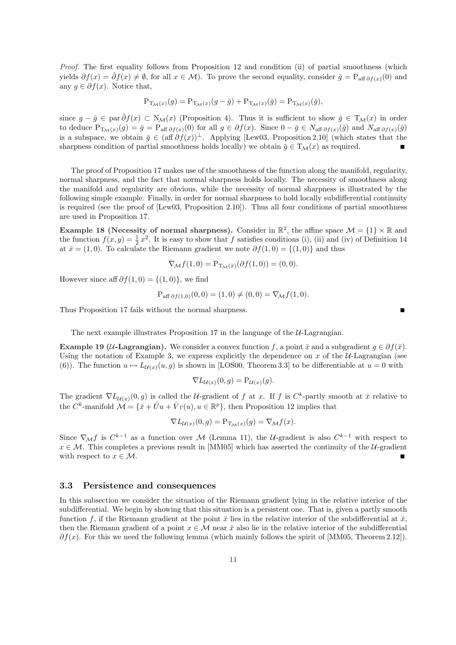Proof. The first equality follows from Proposition 12 and condition (ii) of partial smoothness (which yields  $\partial f(x) = \hat{\partial} f(x) \neq \emptyset$ , for all  $x \in \mathcal{M}$ ). To prove the second equality, consider  $\bar{g} = P_{\text{aff } \partial f(x)}(0)$  and any  $g \in \partial f(x)$ . Notice that,

$$
P_{T_{\mathcal{M}}(x)}(g) = P_{T_{\mathcal{M}}(x)}(g - \bar{g}) + P_{T_{\mathcal{M}}(x)}(\bar{g}) = P_{T_{\mathcal{M}}(x)}(\bar{g}),
$$

since  $g - \bar{g} \in \text{par} \,\hat{\partial} f(x) \subset N_{\mathcal{M}}(x)$  (Proposition 4). Thus it is sufficient to show  $\bar{g} \in T_{\mathcal{M}}(x)$  in order to deduce  $P_{T_M(x)}(g) = \bar{g} = P_{\text{aff }\partial f(x)}(0)$  for all  $g \in \partial f(x)$ . Since  $0 - \bar{g} \in N_{\text{aff }\partial f(x)}(\bar{g})$  and  $N_{\text{aff }\partial f(x)}(\bar{g})$ is a subspace, we obtain  $\bar{g} \in (\text{aff } \partial f(x))^{\perp}$ . Applying [Lew03, Proposition 2.10] (which states that the sharpness condition of partial smoothness holds locally) we obtain  $\bar{g} \in T_{\mathcal{M}}(x)$  as required.

The proof of Proposition 17 makes use of the smoothness of the function along the manifold, regularity, normal sharpness, and the fact that normal sharpness holds locally. The necessity of smoothness along the manifold and regularity are obvious, while the necessity of normal sharpness is illustrated by the following simple example. Finally, in order for normal sharpness to hold locally subdifferential continuity is required (see the proof of [Lew03, Proposition 2.10]). Thus all four conditions of partial smoothness are used in Proposition 17.

Example 18 (Necessity of normal sharpness). Consider in  $\mathbb{R}^2$ , the affine space  $\mathcal{M} = \{1\} \times \mathbb{R}$  and the function  $f(x, y) = \frac{1}{2}x^2$ . It is easy to show that f satisfies conditions (i), (ii) and (iv) of Definition 14 at  $\bar{x} = (1, 0)$ . To calculate the Riemann gradient we note  $\partial f(1, 0) = \{(1, 0)\}\$ and thus

$$
\nabla_{\mathcal{M}} f(1,0) = \mathcal{P}_{\mathcal{I}_{\mathcal{M}}(\bar{x})}(\partial f(1,0)) = (0,0).
$$

However since aff  $\partial f(1,0) = \{(1,0)\}\,$ , we find

$$
P_{\text{aff } \partial f(1,0)}(0,0) = (1,0) \neq (0,0) = \nabla_{\mathcal{M}} f(1,0).
$$

Thus Proposition 17 fails without the normal sharpness.

The next example illustrates Proposition 17 in the language of the  $U$ -Lagrangian.

Example 19 (U-Lagrangian). We consider a convex function f, a point  $\bar{x}$  and a subgradient  $q \in \partial f(\bar{x})$ . Using the notation of Example 3, we express explicitly the dependence on  $x$  of the  $U$ -Lagrangian (see (6)). The function  $u \mapsto L_{\mathcal{U}(x)}(u, g)$  is shown in [LOS00, Theorem 3.3] to be differentiable at  $u = 0$  with

$$
\nabla L_{\mathcal{U}(x)}(0,g) = \mathcal{P}_{\mathcal{U}(x)}(g).
$$

The gradient  $\nabla L_{\mathcal{U}(x)}(0,g)$  is called the U-gradient of f at x. If f is  $C^k$ -partly smooth at  $\bar{x}$  relative to the C<sup>k</sup>-manifold  $\mathcal{M} = {\bar{x} + \bar{U}u + \bar{V}v(u), u \in \mathbb{R}^p}$ , then Proposition 12 implies that

$$
\nabla L_{\mathcal{U}(x)}(0,g) = \mathcal{P}_{\mathcal{I}_{\mathcal{M}}(x)}(g) = \nabla_{\mathcal{M}} f(x).
$$

Since  $\nabla_{\mathcal{M}} f$  is  $C^{k-1}$  as a function over M (Lemma 11), the U-gradient is also  $C^{k-1}$  with respect to  $x \in \mathcal{M}$ . This completes a previous result in [MM05] which has asserted the continuity of the U-gradient with respect to  $x \in \mathcal{M}$ .  $\blacksquare$ 

#### 3.3 Persistence and consequences

In this subsection we consider the situation of the Riemann gradient lying in the relative interior of the subdifferential. We begin by showing that this situation is a persistent one. That is, given a partly smooth function f, if the Riemann gradient at the point  $\bar{x}$  lies in the relative interior of the subdifferential at  $\bar{x}$ , then the Riemann gradient of a point  $x \in \mathcal{M}$  near  $\bar{x}$  also lie in the relative interior of the subdifferential  $\partial f(x)$ . For this we need the following lemma (which mainly follows the spirit of [MM05, Theorem 2.12]).

п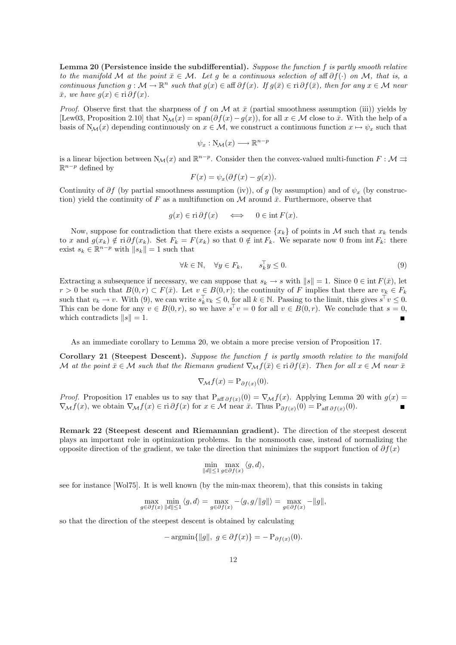Lemma 20 (Persistence inside the subdifferential). Suppose the function f is partly smooth relative to the manifold M at the point  $\bar{x} \in \mathcal{M}$ . Let g be a continuous selection of aff  $\partial f(\cdot)$  on M, that is, a continuous function  $g : \mathcal{M} \to \mathbb{R}^n$  such that  $g(x) \in \text{aff } \partial f(x)$ . If  $g(\bar{x}) \in \text{ri } \partial f(\bar{x})$ , then for any  $x \in \mathcal{M}$  near  $\bar{x}$ , we have  $g(x) \in \text{ri } \partial f(x)$ .

*Proof.* Observe first that the sharpness of f on M at  $\bar{x}$  (partial smoothness assumption (iii)) yields by [Lew03, Proposition 2.10] that  $N_{\mathcal{M}}(x) = \text{span}(\partial f(x) - g(x))$ , for all  $x \in \mathcal{M}$  close to  $\bar{x}$ . With the help of a basis of  $N_{\mathcal{M}}(x)$  depending continuously on  $x \in \mathcal{M}$ , we construct a continuous function  $x \mapsto \psi_x$  such that

$$
\psi_x : \mathcal{N}_{\mathcal{M}}(x) \longrightarrow \mathbb{R}^{n-p}
$$

is a linear bijection between  $N_{\mathcal{M}}(x)$  and  $\mathbb{R}^{n-p}$ . Consider then the convex-valued multi-function  $F: \mathcal{M} \rightrightarrows$  $\mathbb{R}^{n-p}$  defined by

$$
F(x) = \psi_x(\partial f(x) - g(x)).
$$

Continuity of  $\partial f$  (by partial smoothness assumption (iv)), of g (by assumption) and of  $\psi_x$  (by construction) yield the continuity of F as a multifunction on M around  $\bar{x}$ . Furthermore, observe that

$$
g(x) \in \text{ri}\,\partial f(x) \iff 0 \in \text{int}\,F(x).
$$

Now, suppose for contradiction that there exists a sequence  $\{x_k\}$  of points in M such that  $x_k$  tends to x and  $g(x_k) \notin \text{ri } \partial f(x_k)$ . Set  $F_k = F(x_k)$  so that  $0 \notin \text{int } F_k$ . We separate now 0 from  $\text{int } F_k$ : there exist  $s_k \in \mathbb{R}^{n-p}$  with  $||s_k|| = 1$  such that

$$
\forall k \in \mathbb{N}, \quad \forall y \in F_k, \qquad s_k^{\top} y \le 0. \tag{9}
$$

Extracting a subsequence if necessary, we can suppose that  $s_k \to s$  with  $||s|| = 1$ . Since  $0 \in \text{int } F(\bar{x})$ , let  $r > 0$  be such that  $B(0,r) \subset F(\bar{x})$ . Let  $v \in B(0,r)$ ; the continuity of F implies that there are  $v_k \in F_k$ such that  $v_k \to v$ . With (9), we can write  $s_k^{\top} v_k \leq 0$ , for all  $k \in \mathbb{N}$ . Passing to the limit, this gives  $s^{\top} v \leq 0$ . This can be done for any  $v \in B(0,r)$ , so we have  $s^{\top}v = 0$  for all  $v \in B(0,r)$ . We conclude that  $s = 0$ , which contradicts  $||s|| = 1$ .

As an immediate corollary to Lemma 20, we obtain a more precise version of Proposition 17.

Corollary 21 (Steepest Descent). Suppose the function f is partly smooth relative to the manifold M at the point  $\bar{x} \in \mathcal{M}$  such that the Riemann gradient  $\nabla_\mathcal{M} f(\bar{x}) \in \text{ri } \partial f(\bar{x})$ . Then for all  $x \in \mathcal{M}$  near  $\bar{x}$ 

$$
\nabla_{\mathcal{M}} f(x) = \mathcal{P}_{\partial f(x)}(0).
$$

*Proof.* Proposition 17 enables us to say that  $P_{aff} \partial f(x)(0) = \nabla_M f(x)$ . Applying Lemma 20 with  $g(x) =$  $\nabla_{\mathcal{M}} f(x)$ , we obtain  $\nabla_{\mathcal{M}} f(x) \in \text{ri } \partial f(x)$  for  $x \in \mathcal{M}$  near  $\bar{x}$ . Thus  $P_{\partial f(x)}(0) = P_{\text{aff } \partial f(x)}(0)$ .

Remark 22 (Steepest descent and Riemannian gradient). The direction of the steepest descent plays an important role in optimization problems. In the nonsmooth case, instead of normalizing the opposite direction of the gradient, we take the direction that minimizes the support function of  $\partial f(x)$ 

$$
\min_{\|d\| \le 1} \max_{g \in \partial f(x)} \langle g, d \rangle,
$$

see for instance [Wol75]. It is well known (by the min-max theorem), that this consists in taking

$$
\max_{g \in \partial f(x)} \min_{\|d\| \le 1} \langle g, d \rangle = \max_{g \in \partial f(x)} -\langle g, g/||g|| \rangle = \max_{g \in \partial f(x)} -||g||,
$$

so that the direction of the steepest descent is obtained by calculating

$$
-\operatorname{argmin} \{ \|g\|, g \in \partial f(x) \} = -\mathrm{P}_{\partial f(x)}(0).
$$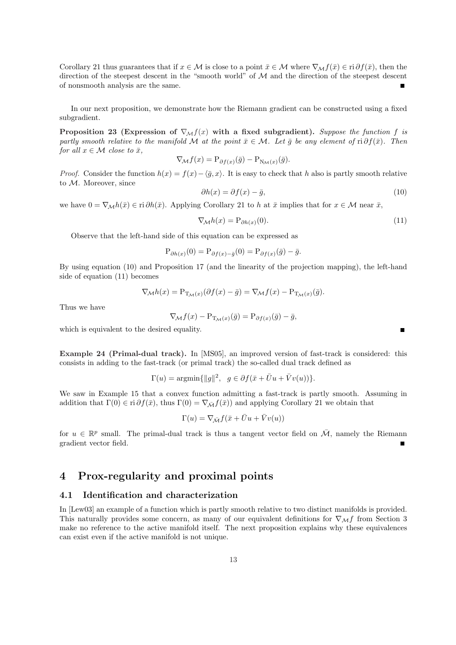Corollary 21 thus guarantees that if  $x \in \mathcal{M}$  is close to a point  $\bar{x} \in \mathcal{M}$  where  $\nabla_{\mathcal{M}} f(\bar{x}) \in \text{ri } \partial f(\bar{x})$ , then the direction of the steepest descent in the "smooth world" of  $M$  and the direction of the steepest descent of nonsmooth analysis are the same.  $\blacksquare$ 

In our next proposition, we demonstrate how the Riemann gradient can be constructed using a fixed subgradient.

Proposition 23 (Expression of  $\nabla_M f(x)$  with a fixed subgradient). Suppose the function f is partly smooth relative to the manifold M at the point  $\bar{x} \in \mathcal{M}$ . Let  $\bar{g}$  be any element of ri  $\partial f(\bar{x})$ . Then for all  $x \in \mathcal{M}$  close to  $\bar{x}$ ,

$$
\nabla_{\mathcal{M}} f(x) = \mathcal{P}_{\partial f(x)}(\bar{g}) - \mathcal{P}_{\mathcal{N}_{\mathcal{M}}(x)}(\bar{g}).
$$

*Proof.* Consider the function  $h(x) = f(x) - \langle \overline{g}, x \rangle$ . It is easy to check that h also is partly smooth relative to M. Moreover, since

$$
\partial h(x) = \partial f(x) - \bar{g},\tag{10}
$$

we have  $0 = \nabla_M h(\bar{x}) \in \text{ri } \partial h(\bar{x})$ . Applying Corollary 21 to h at  $\bar{x}$  implies that for  $x \in \mathcal{M}$  near  $\bar{x}$ ,

$$
\nabla_{\mathcal{M}} h(x) = \mathcal{P}_{\partial h(x)}(0). \tag{11}
$$

Observe that the left-hand side of this equation can be expressed as

$$
P_{\partial h(x)}(0) = P_{\partial f(x) - \bar{g}}(0) = P_{\partial f(x)}(\bar{g}) - \bar{g}.
$$

By using equation (10) and Proposition 17 (and the linearity of the projection mapping), the left-hand side of equation (11) becomes

$$
\nabla_{\mathcal{M}} h(x) = \mathcal{P}_{\mathcal{T}_{\mathcal{M}}(x)}(\partial f(x) - \bar{g}) = \nabla_{\mathcal{M}} f(x) - \mathcal{P}_{\mathcal{T}_{\mathcal{M}}(x)}(\bar{g}).
$$

Thus we have

$$
\nabla_{\mathcal{M}} f(x) - \mathcal{P}_{\mathcal{I}_{\mathcal{M}}(x)}(\bar{g}) = \mathcal{P}_{\partial f(x)}(\bar{g}) - \bar{g},
$$

which is equivalent to the desired equality.

Example 24 (Primal-dual track). In [MS05], an improved version of fast-track is considered: this consists in adding to the fast-track (or primal track) the so-called dual track defined as

$$
\Gamma(u) = \operatorname{argmin} \{ ||g||^2, \ g \in \partial f(\bar{x} + \bar{U}u + \bar{V}v(u)) \}.
$$

We saw in Example 15 that a convex function admitting a fast-track is partly smooth. Assuming in addition that  $\Gamma(0) \in \text{ri } \partial f(\bar{x})$ , thus  $\Gamma(0) = \nabla_{\bar{\mathcal{M}}} f(\bar{x})$  and applying Corollary 21 we obtain that

$$
\Gamma(u)=\nabla_{\bar{\mathcal{M}}} f(\bar{x}+\bar{U}u+\bar{V}v(u))
$$

for  $u \in \mathbb{R}^p$  small. The primal-dual track is thus a tangent vector field on  $\overline{\mathcal{M}}$ , namely the Riemann gradient vector field.

# 4 Prox-regularity and proximal points

#### 4.1 Identification and characterization

In [Lew03] an example of a function which is partly smooth relative to two distinct manifolds is provided. This naturally provides some concern, as many of our equivalent definitions for  $\nabla_{\mathcal{M}}f$  from Section 3 make no reference to the active manifold itself. The next proposition explains why these equivalences can exist even if the active manifold is not unique.

 $\blacksquare$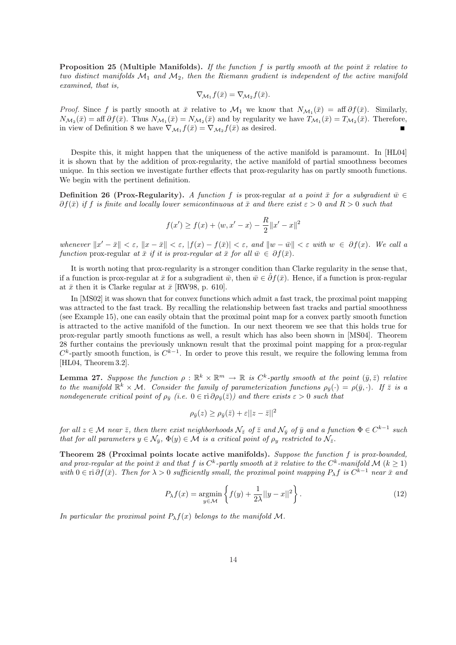**Proposition 25 (Multiple Manifolds).** If the function f is partly smooth at the point  $\bar{x}$  relative to two distinct manifolds  $\mathcal{M}_1$  and  $\mathcal{M}_2$ , then the Riemann gradient is independent of the active manifold examined, that is,

$$
\nabla_{\mathcal{M}_1} f(\bar{x}) = \nabla_{\mathcal{M}_2} f(\bar{x}).
$$

*Proof.* Since f is partly smooth at  $\bar{x}$  relative to  $\mathcal{M}_1$  we know that  $N_{\mathcal{M}_1}(\bar{x}) = \text{aff } \partial f(\bar{x})$ . Similarly,  $N_{\mathcal{M}_2}(\bar{x}) = \text{aff } \partial f(\bar{x})$ . Thus  $N_{\mathcal{M}_1}(\bar{x}) = N_{\mathcal{M}_2}(\bar{x})$  and by regularity we have  $T_{\mathcal{M}_1}(\bar{x}) = T_{\mathcal{M}_2}(\bar{x})$ . Therefore, in view of Definition 8 we have  $\nabla_{\mathcal{M}_1} f(\bar{x}) = \nabla_{\mathcal{M}_2} f(\bar{x})$  as desired.

Despite this, it might happen that the uniqueness of the active manifold is paramount. In [HL04] it is shown that by the addition of prox-regularity, the active manifold of partial smoothness becomes unique. In this section we investigate further effects that prox-regularity has on partly smooth functions. We begin with the pertinent definition.

**Definition 26 (Prox-Regularity).** A function f is prox-regular at a point  $\bar{x}$  for a subgradient  $\bar{w} \in$  $\partial f(\bar{x})$  if f is finite and locally lower semicontinuous at  $\bar{x}$  and there exist  $\varepsilon > 0$  and  $R > 0$  such that

$$
f(x') \ge f(x) + \langle w, x' - x \rangle - \frac{R}{2} ||x' - x||^2
$$

whenever  $||x'-\bar{x}|| < \varepsilon$ ,  $||x-\bar{x}|| < \varepsilon$ ,  $|f(x)-f(\bar{x})| < \varepsilon$ , and  $||w-\bar{w}|| < \varepsilon$  with  $w \in \partial f(x)$ . We call a function prox-regular at  $\bar{x}$  if it is prox-regular at  $\bar{x}$  for all  $\bar{w} \in \partial f(\bar{x})$ .

It is worth noting that prox-regularity is a stronger condition than Clarke regularity in the sense that, if a function is prox-regular at  $\bar{x}$  for a subgradient  $\bar{w}$ , then  $\bar{w} \in \hat{\partial} f(\bar{x})$ . Hence, if a function is prox-regular at  $\bar{x}$  then it is Clarke regular at  $\bar{x}$  [RW98, p. 610].

In [MS02] it was shown that for convex functions which admit a fast track, the proximal point mapping was attracted to the fast track. By recalling the relationship between fast tracks and partial smoothness (see Example 15), one can easily obtain that the proximal point map for a convex partly smooth function is attracted to the active manifold of the function. In our next theorem we see that this holds true for prox-regular partly smooth functions as well, a result which has also been shown in [MS04]. Theorem 28 further contains the previously unknown result that the proximal point mapping for a prox-regular  $C^k$ -partly smooth function, is  $C^{k-1}$ . In order to prove this result, we require the following lemma from [HL04, Theorem 3.2].

**Lemma 27.** Suppose the function  $\rho : \mathbb{R}^k \times \mathbb{R}^m \to \mathbb{R}$  is  $C^k$ -partly smooth at the point  $(\bar{y}, \bar{z})$  relative to the manifold  $\mathbb{R}^k \times \mathcal{M}$ . Consider the family of parameterization functions  $\rho_{\bar{y}}(\cdot) = \rho(\bar{y}, \cdot)$ . If  $\bar{z}$  is a nondegenerate critical point of  $\rho_{\bar{y}}$  (i.e.  $0 \in \text{ri}\,\partial \rho_{\bar{y}}(\bar{z})$ ) and there exists  $\varepsilon > 0$  such that

$$
\rho_{\bar{y}}(z) \ge \rho_{\bar{y}}(\bar{z}) + \varepsilon ||z - \bar{z}||^2
$$

for all  $z \in \mathcal{M}$  near  $\bar{z}$ , then there exist neighborhoods  $\mathcal{N}_{\bar{z}}$  of  $\bar{z}$  and  $\mathcal{N}_{\bar{y}}$  of  $\bar{y}$  and a function  $\Phi \in C^{k-1}$  such that for all parameters  $y \in \mathcal{N}_{\bar{y}}, \Phi(y) \in \mathcal{M}$  is a critical point of  $\rho_y$  restricted to  $\mathcal{N}_{\bar{z}}$ .

Theorem 28 (Proximal points locate active manifolds). Suppose the function f is prox-bounded, and prox-regular at the point  $\bar{x}$  and that f is  $C^k$ -partly smooth at  $\bar{x}$  relative to the  $C^k$ -manifold M  $(k \ge 1)$ with  $0 \in \text{ri } \partial f(\bar{x})$ . Then for  $\lambda > 0$  sufficiently small, the proximal point mapping  $P_{\lambda}f$  is  $C^{k-1}$  near  $\bar{x}$  and

$$
P_{\lambda}f(x) = \underset{y \in \mathcal{M}}{\operatorname{argmin}} \left\{ f(y) + \frac{1}{2\lambda} ||y - x||^2 \right\}.
$$
 (12)

In particular the proximal point  $P_{\lambda}f(x)$  belongs to the manifold M.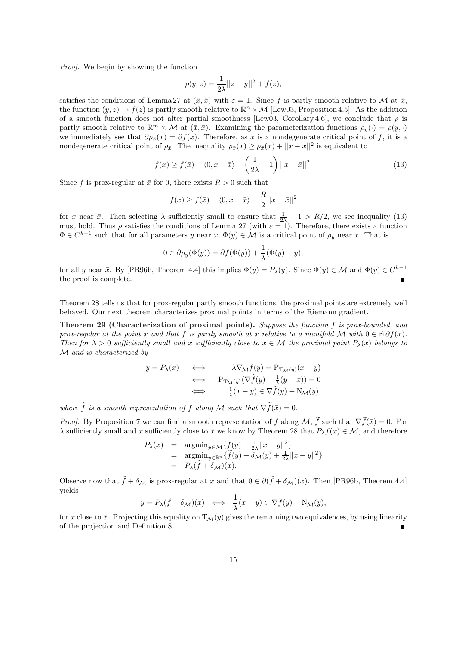Proof. We begin by showing the function

$$
\rho(y, z) = \frac{1}{2\lambda} ||z - y||^2 + f(z),
$$

satisfies the conditions of Lemma 27 at  $(\bar{x}, \bar{x})$  with  $\varepsilon = 1$ . Since f is partly smooth relative to M at  $\bar{x}$ , the function  $(y, z) \mapsto f(z)$  is partly smooth relative to  $\mathbb{R}^n \times \mathcal{M}$  [Lew03, Proposition 4.5]. As the addition of a smooth function does not alter partial smoothness [Lew03, Corollary 4.6], we conclude that  $\rho$  is partly smooth relative to  $\mathbb{R}^m \times \mathcal{M}$  at  $(\bar{x}, \bar{x})$ . Examining the parameterization functions  $\rho_y(\cdot) = \rho(y, \cdot)$ we immediately see that  $\partial \rho_{\bar{x}}(\bar{x}) = \partial f(\bar{x})$ . Therefore, as  $\bar{x}$  is a nondegenerate critical point of f, it is a nondegenerate critical point of  $\rho_{\bar{x}}$ . The inequality  $\rho_{\bar{x}}(x) \geq \rho_{\bar{x}}(\bar{x}) + ||x - \bar{x}||^2$  is equivalent to

$$
f(x) \ge f(\bar{x}) + \langle 0, x - \bar{x} \rangle - \left(\frac{1}{2\lambda} - 1\right) ||x - \bar{x}||^2.
$$
 (13)

Since f is prox-regular at  $\bar{x}$  for 0, there exists  $R > 0$  such that

$$
f(x) \ge f(\bar{x}) + \langle 0, x - \bar{x} \rangle - \frac{R}{2} ||x - \bar{x}||^2
$$

for x near  $\bar{x}$ . Then selecting  $\lambda$  sufficiently small to ensure that  $\frac{1}{2\lambda} - 1 > R/2$ , we see inequality (13) must hold. Thus  $\rho$  satisfies the conditions of Lemma 27 (with  $\varepsilon = 1$ ). Therefore, there exists a function  $\Phi \in C^{k-1}$  such that for all parameters y near  $\bar{x}$ ,  $\Phi(y) \in \mathcal{M}$  is a critical point of  $\rho_y$  near  $\bar{x}$ . That is

$$
0 \in \partial \rho_y(\Phi(y)) = \partial f(\Phi(y)) + \frac{1}{\lambda}(\Phi(y) - y),
$$

for all y near  $\bar{x}$ . By [PR96b, Theorem 4.4] this implies  $\Phi(y) = P_{\lambda}(y)$ . Since  $\Phi(y) \in \mathcal{M}$  and  $\Phi(y) \in C^{k-1}$ the proof is complete.

Theorem 28 tells us that for prox-regular partly smooth functions, the proximal points are extremely well behaved. Our next theorem characterizes proximal points in terms of the Riemann gradient.

Theorem 29 (Characterization of proximal points). Suppose the function f is prox-bounded, and prox-regular at the point  $\bar{x}$  and that f is partly smooth at  $\bar{x}$  relative to a manifold M with  $0 \in \text{ri } \partial f(\bar{x})$ . Then for  $\lambda > 0$  sufficiently small and x sufficiently close to  $\bar{x} \in \mathcal{M}$  the proximal point  $P_{\lambda}(x)$  belongs to M and is characterized by

$$
y = P_{\lambda}(x) \qquad \Longleftrightarrow \qquad \lambda \nabla_{\mathcal{M}} f(y) = \mathcal{P}_{\mathcal{T}_{\mathcal{M}}(y)}(x - y)
$$

$$
\Longleftrightarrow \qquad \mathcal{P}_{\mathcal{T}_{\mathcal{M}}(y)}(\nabla \widetilde{f}(y) + \frac{1}{\lambda}(y - x)) = 0
$$

$$
\Longleftrightarrow \qquad \frac{1}{\lambda}(x - y) \in \nabla \widetilde{f}(y) + \mathcal{N}_{\mathcal{M}}(y),
$$

where  $\tilde{f}$  is a smooth representation of f along M such that  $\nabla \tilde{f}(\bar{x}) = 0$ .

*Proof.* By Proposition 7 we can find a smooth representation of f along  $M$ ,  $\tilde{f}$  such that  $\nabla \tilde{f}(\bar{x}) = 0$ . For  $\lambda$  sufficiently small and x sufficiently close to  $\bar{x}$  we know by Theorem 28 that  $P_\lambda f(x) \in \mathcal{M}$ , and therefore

$$
P_{\lambda}(x) = \operatorname*{argmin}_{y \in \mathcal{M}} \{ f(y) + \frac{1}{2\lambda} ||x - y||^2 \}
$$
  
= 
$$
\operatorname*{argmin}_{y \in \mathbb{R}^n} \{ \widetilde{f}(y) + \delta_{\mathcal{M}}(y) + \frac{1}{2\lambda} ||x - y||^2 \}
$$
  
= 
$$
P_{\lambda}(\widetilde{f} + \delta_{\mathcal{M}})(x).
$$

Observe now that  $\tilde{f} + \delta_{\mathcal{M}}$  is prox-regular at  $\bar{x}$  and that  $0 \in \partial(\tilde{f} + \delta_{\mathcal{M}})(\bar{x})$ . Then [PR96b, Theorem 4.4] yields

$$
y = P_{\lambda}(\widetilde{f} + \delta_{\mathcal{M}})(x) \iff \frac{1}{\lambda}(x - y) \in \nabla \widetilde{f}(y) + N_{\mathcal{M}}(y),
$$

for x close to  $\bar{x}$ . Projecting this equality on  $T_M(y)$  gives the remaining two equivalences, by using linearity of the projection and Definition 8.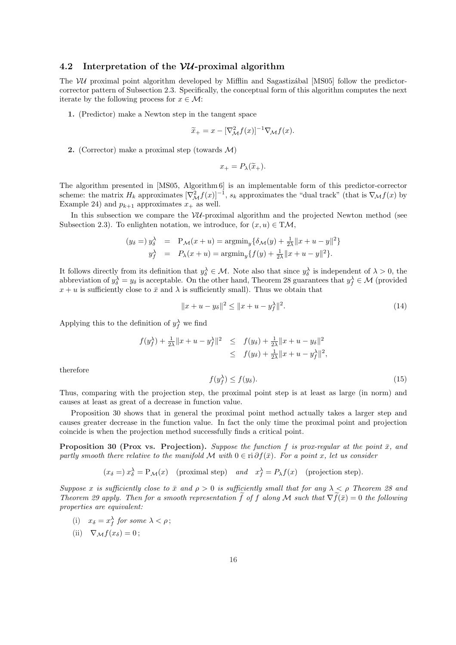#### 4.2 Interpretation of the  $VU$ -proximal algorithm

The  $VU$  proximal point algorithm developed by Mifflin and Sagastizational [MS05] follow the predictorcorrector pattern of Subsection 2.3. Specifically, the conceptual form of this algorithm computes the next iterate by the following process for  $x \in \mathcal{M}$ :

1. (Predictor) make a Newton step in the tangent space

$$
\widetilde{x}_{+} = x - [\nabla_{\mathcal{M}}^{2} f(x)]^{-1} \nabla_{\mathcal{M}} f(x).
$$

2. (Corrector) make a proximal step (towards  $\mathcal{M}$ )

$$
x_{+}=P_{\lambda}(\widetilde{x}_{+}).
$$

The algorithm presented in [MS05, Algorithm 6] is an implementable form of this predictor-corrector scheme: the matrix  $H_k$  approximates  $[\nabla^2_{\mathcal{M}} f(x)]^{-1}$ ,  $s_k$  approximates the "dual track" (that is  $\nabla_{\mathcal{M}} f(x)$  by Example 24) and  $p_{k+1}$  approximates  $x_+$  as well.

In this subsection we compare the  $VU$ -proximal algorithm and the projected Newton method (see Subsection 2.3). To enlighten notation, we introduce, for  $(x, u) \in T\mathcal{M}$ ,

$$
(y_{\delta} =) y_{\delta}^{\lambda} = P_{\mathcal{M}}(x+u) = \operatorname{argmin}_{y} \{ \delta_{\mathcal{M}}(y) + \frac{1}{2\lambda} ||x + u - y||^{2} \}
$$
  

$$
y_{f}^{\lambda} = P_{\lambda}(x+u) = \operatorname{argmin}_{y} \{ f(y) + \frac{1}{2\lambda} ||x + u - y||^{2} \}.
$$

It follows directly from its definition that  $y_{\delta}^{\lambda} \in \mathcal{M}$ . Note also that since  $y_{\delta}^{\lambda}$  is independent of  $\lambda > 0$ , the abbreviation of  $y_\delta^\lambda = y_\delta$  is acceptable. On the other hand, Theorem 28 guarantees that  $y_f^\lambda \in \mathcal{M}$  (provided  $x + u$  is sufficiently close to  $\bar{x}$  and  $\lambda$  is sufficiently small). Thus we obtain that

$$
||x + u - y_{\delta}||^{2} \le ||x + u - y_{f}^{\lambda}||^{2}.
$$
\n(14)

Applying this to the definition of  $y_f^{\lambda}$  we find

$$
f(y_f^{\lambda}) + \frac{1}{2\lambda} \|x + u - y_f^{\lambda}\|^2 \leq f(y_\delta) + \frac{1}{2\lambda} \|x + u - y_\delta\|^2
$$
  
 
$$
\leq f(y_\delta) + \frac{1}{2\lambda} \|x + u - y_f^{\lambda}\|^2,
$$

therefore

$$
f(y_f^{\lambda}) \le f(y_\delta). \tag{15}
$$

Thus, comparing with the projection step, the proximal point step is at least as large (in norm) and causes at least as great of a decrease in function value.

Proposition 30 shows that in general the proximal point method actually takes a larger step and causes greater decrease in the function value. In fact the only time the proximal point and projection coincide is when the projection method successfully finds a critical point.

**Proposition 30 (Prox vs. Projection).** Suppose the function f is prox-regular at the point  $\bar{x}$ , and partly smooth there relative to the manifold M with  $0 \in \text{ri } \partial f(\bar{x})$ . For a point x, let us consider

$$
(x_{\delta} =) x_{\delta}^{\lambda} = P_{\mathcal{M}}(x)
$$
 (proximal step) and  $x_{f}^{\lambda} = P_{\lambda}f(x)$  (projection step).

Suppose x is sufficiently close to  $\bar{x}$  and  $\rho > 0$  is sufficiently small that for any  $\lambda < \rho$  Theorem 28 and Theorem 29 apply. Then for a smooth representation f of f along M such that  $\nabla f(\bar{x}) = 0$  the following properties are equivalent:

- (i)  $x_{\delta} = x_{f}^{\lambda}$  for some  $\lambda < \rho$ ;
- (ii)  $\nabla_M f(x_\delta) = 0$ ;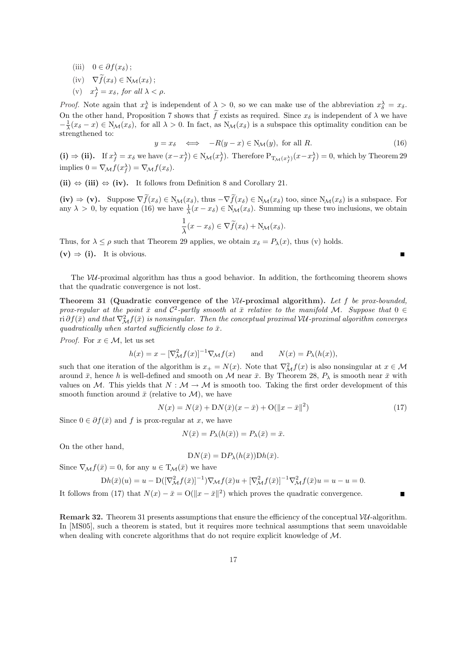- (iii)  $0 \in \partial f(x_\delta);$
- $(iv)$   $\nabla \widetilde{f}(x_{\delta}) \in N_{\mathcal{M}}(x_{\delta});$
- (v)  $x_f^{\lambda} = x_{\delta}$ , for all  $\lambda < \rho$ .

*Proof.* Note again that  $x_{\delta}^{\lambda}$  is independent of  $\lambda > 0$ , so we can make use of the abbreviation  $x_{\delta}^{\lambda} = x_{\delta}$ . On the other hand, Proposition 7 shows that  $\tilde{f}$  exists as required. Since  $x_{\delta}$  is independent of  $\lambda$  we have  $-\frac{1}{\lambda}(x_{\delta}-x) \in N_{\mathcal{M}}(x_{\delta})$ , for all  $\lambda > 0$ . In fact, as  $N_{\mathcal{M}}(x_{\delta})$  is a subspace this optimality condition can be strengthened to:

$$
y = x_{\delta} \iff -R(y - x) \in N_{\mathcal{M}}(y), \text{ for all } R. \tag{16}
$$

п

(i)  $\Rightarrow$  (ii). If  $x_f^{\lambda} = x_{\delta}$  we have  $(x - x_f^{\lambda}) \in N_{\mathcal{M}}(x_f^{\lambda})$ . Therefore  $P_{T_{\mathcal{M}}(x_f^{\lambda})}(x - x_f^{\lambda}) = 0$ , which by Theorem 29 implies  $0 = \nabla_{\mathcal{M}} f(x_f^{\lambda}) = \nabla_{\mathcal{M}} f(x_{\delta}).$ 

(ii)  $\Leftrightarrow$  (iii)  $\Leftrightarrow$  (iv). It follows from Definition 8 and Corollary 21.

 $(iv) \Rightarrow (v)$ . Suppose  $\nabla \tilde{f}(x_\delta) \in N_{\mathcal{M}}(x_\delta)$ , thus  $-\nabla \tilde{f}(x_\delta) \in N_{\mathcal{M}}(x_\delta)$  too, since  $N_{\mathcal{M}}(x_\delta)$  is a subspace. For any  $\lambda > 0$ , by equation (16) we have  $\frac{1}{\lambda}(x - x_{\delta}) \in N_{\mathcal{M}}(x_{\delta})$ . Summing up these two inclusions, we obtain

$$
\frac{1}{\lambda}(x - x_{\delta}) \in \nabla \widetilde{f}(x_{\delta}) + N_{\mathcal{M}}(x_{\delta}).
$$

Thus, for  $\lambda \leq \rho$  such that Theorem 29 applies, we obtain  $x_{\delta} = P_{\lambda}(x)$ , thus (v) holds.  $(v) \Rightarrow (i)$ . It is obvious.

The  $VU$ -proximal algorithm has thus a good behavior. In addition, the forthcoming theorem shows that the quadratic convergence is not lost.

Theorem 31 (Quadratic convergence of the  $VU$ -proximal algorithm). Let f be prox-bounded, prox-regular at the point  $\bar{x}$  and  $\mathcal{C}^2$ -partly smooth at  $\bar{x}$  relative to the manifold M. Suppose that  $0 \in$  $\pi {\rm i}\,\partial f(\bar x)$  and that  $\nabla^2_{\cal M} f(\bar x)$  is nonsingular. Then the conceptual proximal VU-proximal algorithm converges quadratically when started sufficiently close to  $\bar{x}$ .

*Proof.* For  $x \in \mathcal{M}$ , let us set

$$
h(x) = x - [\nabla^2_{\mathcal{M}} f(x)]^{-1} \nabla_{\mathcal{M}} f(x) \quad \text{and} \quad N(x) = P_{\lambda}(h(x)),
$$

such that one iteration of the algorithm is  $x_+ = N(x)$ . Note that  $\nabla^2_{\mathcal{M}} f(x)$  is also nonsingular at  $x \in \mathcal{M}$ around  $\bar{x}$ , hence h is well-defined and smooth on M near  $\bar{x}$ . By Theorem 28,  $P_{\lambda}$  is smooth near  $\bar{x}$  with values on M. This yields that  $N : \mathcal{M} \to \mathcal{M}$  is smooth too. Taking the first order development of this smooth function around  $\bar{x}$  (relative to  $\mathcal{M}$ ), we have

$$
N(x) = N(\bar{x}) + DN(\bar{x})(x - \bar{x}) + O(||x - \bar{x}||^2)
$$
\n(17)

Since  $0 \in \partial f(\bar{x})$  and f is prox-regular at x, we have

$$
N(\bar{x}) = P_{\lambda}(h(\bar{x})) = P_{\lambda}(\bar{x}) = \bar{x}.
$$

On the other hand,

$$
DN(\bar{x}) = DP_{\lambda}(h(\bar{x})) Dh(\bar{x}).
$$

Since  $\nabla_{\mathcal{M}} f(\bar{x}) = 0$ , for any  $u \in T_{\mathcal{M}}(\bar{x})$  we have

$$
Dh(\bar{x})(u) = u - D([\nabla^2_{\mathcal{M}} f(\bar{x})]^{-1}) \nabla_{\mathcal{M}} f(\bar{x}) u + [\nabla^2_{\mathcal{M}} f(\bar{x})]^{-1} \nabla^2_{\mathcal{M}} f(\bar{x}) u = u - u = 0.
$$

It follows from (17) that  $N(x) - \bar{x} = O(||x - \bar{x}||^2)$  which proves the quadratic convergence.

**Remark 32.** Theorem 31 presents assumptions that ensure the efficiency of the conceptual  $VU$ -algorithm. In [MS05], such a theorem is stated, but it requires more technical assumptions that seem unavoidable when dealing with concrete algorithms that do not require explicit knowledge of  $M$ .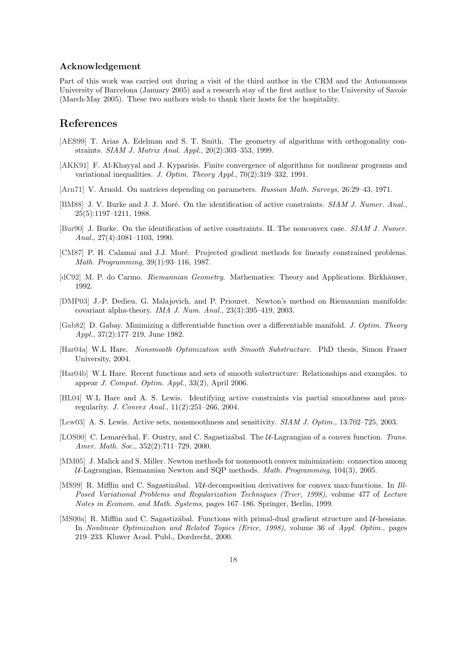#### Acknowledgement

Part of this work was carried out during a visit of the third author in the CRM and the Autonomous University of Barcelona (January 2005) and a research stay of the first author to the University of Savoie (March-May 2005). These two authors wish to thank their hosts for the hospitality.

### References

- [AES99] T. Arias A. Edelman and S. T. Smith. The geometry of algorithms with orthogonality constraints. SIAM J. Matrix Anal. Appl., 20(2):303–353, 1999.
- [AKK91] F. Al-Khayyal and J. Kyparisis. Finite convergence of algorithms for nonlinear programs and variational inequalities. J. Optim. Theory Appl., 70(2):319–332, 1991.
- [Arn71] V. Arnold. On matrices depending on parameters. Russian Math. Surveys, 26:29–43, 1971.
- [BM88] J. V. Burke and J. J. Moré. On the identification of active constraints. *SIAM J. Numer. Anal.*, 25(5):1197–1211, 1988.
- [Bur90] J. Burke. On the identification of active constraints. II. The nonconvex case. SIAM J. Numer. Anal., 27(4):1081–1103, 1990.
- [CM87] P. H. Calamai and J.J. Moré. Projected gradient methods for linearly constrained problems. Math. Programming, 39(1):93–116, 1987.
- [dC92] M. P. do Carmo. Riemannian Geometry. Mathematics: Theory and Applications. Birkhäuser, 1992.
- [DMP03] J.-P. Dedieu, G. Malajovich, and P. Priouret. Newton's method on Riemannian manifolds: covariant alpha-theory. IMA J. Num. Anal., 23(3):395–419, 2003.
- [Gab82] D. Gabay. Minimizing a differentiable function over a differentiable manifold. J. Optim. Theory Appl., 37(2):177–219, June 1982.
- [Har04a] W.L Hare. Nonsmooth Optimization with Smooth Substructure. PhD thesis, Simon Fraser University, 2004.
- [Har04b] W.L Hare. Recent functions and sets of smooth substructure: Relationships and examples. to appear J. Comput. Optim. Appl., 33(2), April 2006.
- [HL04] W.L Hare and A. S. Lewis. Identifying active constraints via partial smoothness and proxregularity. J. Convex Anal., 11(2):251–266, 2004.
- [Lew03] A. S. Lewis. Active sets, nonsmoothness and sensitivity. *SIAM J. Optim.*, 13:702–725, 2003.
- [LOS00] C. Lemaréchal, F. Oustry, and C. Sagastizábal. The U-Lagrangian of a convex function. Trans. Amer. Math. Soc., 352(2):711–729, 2000.
- [MM05] J. Malick and S. Miller. Newton methods for nonsmooth convex minimization: connection among  $U$ -Lagrangian, Riemannian Newton and SQP methods. *Math. Programming*, 104(3), 2005.
- [MS99] R. Mifflin and C. Sagastizábal. *VU*-decomposition derivatives for convex max-functions. In Ill-Posed Variational Problems and Regularization Techniques (Trier, 1998), volume 477 of Lecture Notes in Econom. and Math. Systems, pages 167–186. Springer, Berlin, 1999.
- [MS00a] R. Mifflin and C. Sagastizabal. Functions with primal-dual gradient structure and  $\mathcal{U}$ -hessians. In Nonlinear Optimization and Related Topics (Erice, 1998), volume 36 of Appl. Optim., pages 219–233. Kluwer Acad. Publ., Dordrecht, 2000.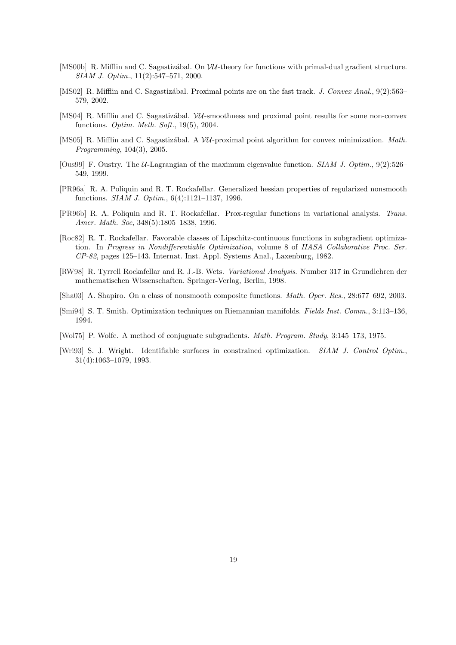- [MS00b] R. Mifflin and C. Sagastizational. On  $VU$ -theory for functions with primal-dual gradient structure. SIAM J. Optim., 11(2):547–571, 2000.
- [MS02] R. Mifflin and C. Sagastizábal. Proximal points are on the fast track. J. Convex Anal., 9(2):563– 579, 2002.
- [MS04] R. Mifflin and C. Sagastization W. Smoothness and proximal point results for some non-convex functions. Optim. Meth. Soft., 19(5), 2004.
- [MS05] R. Mifflin and C. Sagastizábal. A  $VU$ -proximal point algorithm for convex minimization. Math. Programming, 104(3), 2005.
- [Ous99] F. Oustry. The U-Lagrangian of the maximum eigenvalue function. SIAM J. Optim., 9(2):526– 549, 1999.
- [PR96a] R. A. Poliquin and R. T. Rockafellar. Generalized hessian properties of regularized nonsmooth functions. SIAM J. Optim., 6(4):1121–1137, 1996.
- [PR96b] R. A. Poliquin and R. T. Rockafellar. Prox-regular functions in variational analysis. Trans. Amer. Math. Soc, 348(5):1805–1838, 1996.
- [Roc82] R. T. Rockafellar. Favorable classes of Lipschitz-continuous functions in subgradient optimization. In Progress in Nondifferentiable Optimization, volume 8 of IIASA Collaborative Proc. Ser. CP-82, pages 125–143. Internat. Inst. Appl. Systems Anal., Laxenburg, 1982.
- [RW98] R. Tyrrell Rockafellar and R. J.-B. Wets. Variational Analysis. Number 317 in Grundlehren der mathematischen Wissenschaften. Springer-Verlag, Berlin, 1998.
- [Sha03] A. Shapiro. On a class of nonsmooth composite functions. Math. Oper. Res., 28:677–692, 2003.
- [Smi94] S. T. Smith. Optimization techniques on Riemannian manifolds. Fields Inst. Comm., 3:113–136, 1994.
- [Wol75] P. Wolfe. A method of conjuguate subgradients. Math. Program. Study, 3:145–173, 1975.
- [Wri93] S. J. Wright. Identifiable surfaces in constrained optimization. SIAM J. Control Optim., 31(4):1063–1079, 1993.